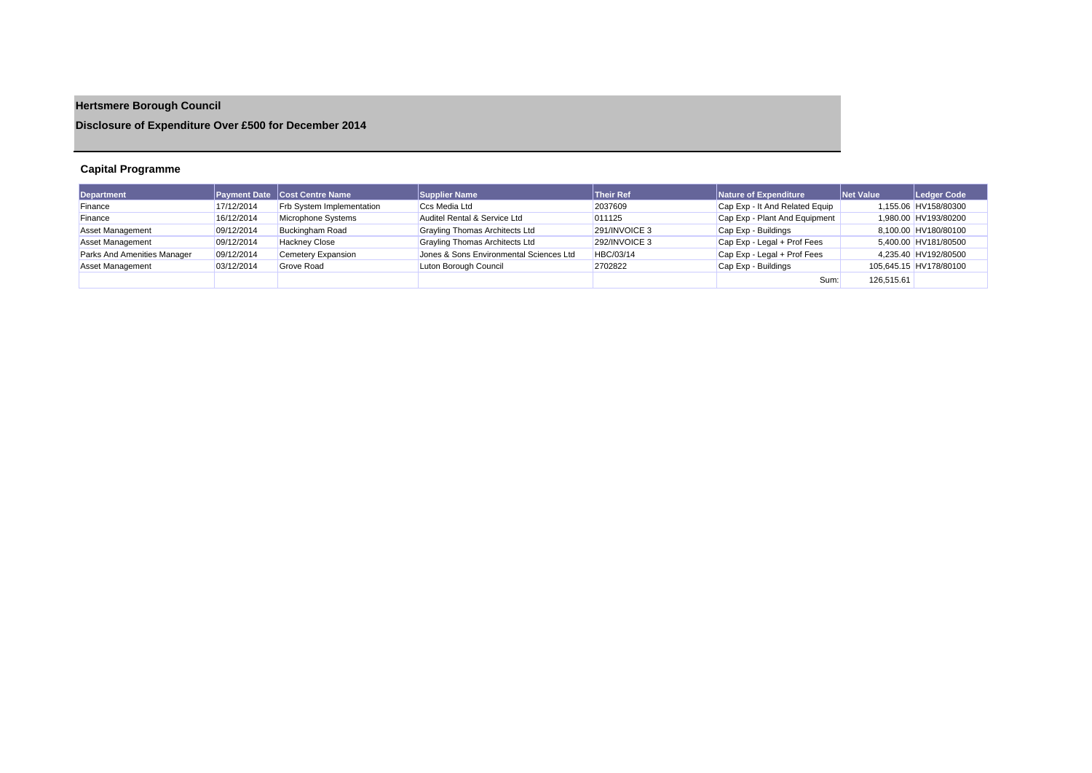# **Hertsmere Borough Council**

**Disclosure of Expenditure Over £500 for December 2014**

## **Capital Programme**

| Department                  |            | <b>Payment Date Cost Centre Name</b> | Supplier Name                           | <b>Their Ref</b> | Nature of Expenditure          | Net Value  | Ledger Code            |
|-----------------------------|------------|--------------------------------------|-----------------------------------------|------------------|--------------------------------|------------|------------------------|
| Finance                     | 17/12/2014 | <b>Frb System Implementation</b>     | Ccs Media Ltd                           | 2037609          | Cap Exp - It And Related Equip |            | 1,155.06 HV158/80300   |
| Finance                     | 16/12/2014 | Microphone Systems                   | Auditel Rental & Service Ltd            | 011125           | Cap Exp - Plant And Equipment  |            | 1,980.00 HV193/80200   |
| <b>Asset Management</b>     | 09/12/2014 | <b>Buckingham Road</b>               | Grayling Thomas Architects Ltd          | 291/INVOICE 3    | Cap Exp - Buildings            |            | 8,100.00 HV180/80100   |
| <b>Asset Management</b>     | 09/12/2014 | <b>Hackney Close</b>                 | Grayling Thomas Architects Ltd          | 292/INVOICE 3    | Cap Exp - Legal + Prof Fees    |            | 5.400.00 HV181/80500   |
| Parks And Amenities Manager | 09/12/2014 | Cemetery Expansion                   | Jones & Sons Environmental Sciences Ltd | HBC/03/14        | Cap Exp - Legal + Prof Fees    |            | 4.235.40 HV192/80500   |
| <b>Asset Management</b>     | 03/12/2014 | <b>Grove Road</b>                    | Luton Borough Council                   | 2702822          | Cap Exp - Buildings            |            | 105,645.15 HV178/80100 |
|                             |            |                                      |                                         |                  | Sum:                           | 126.515.61 |                        |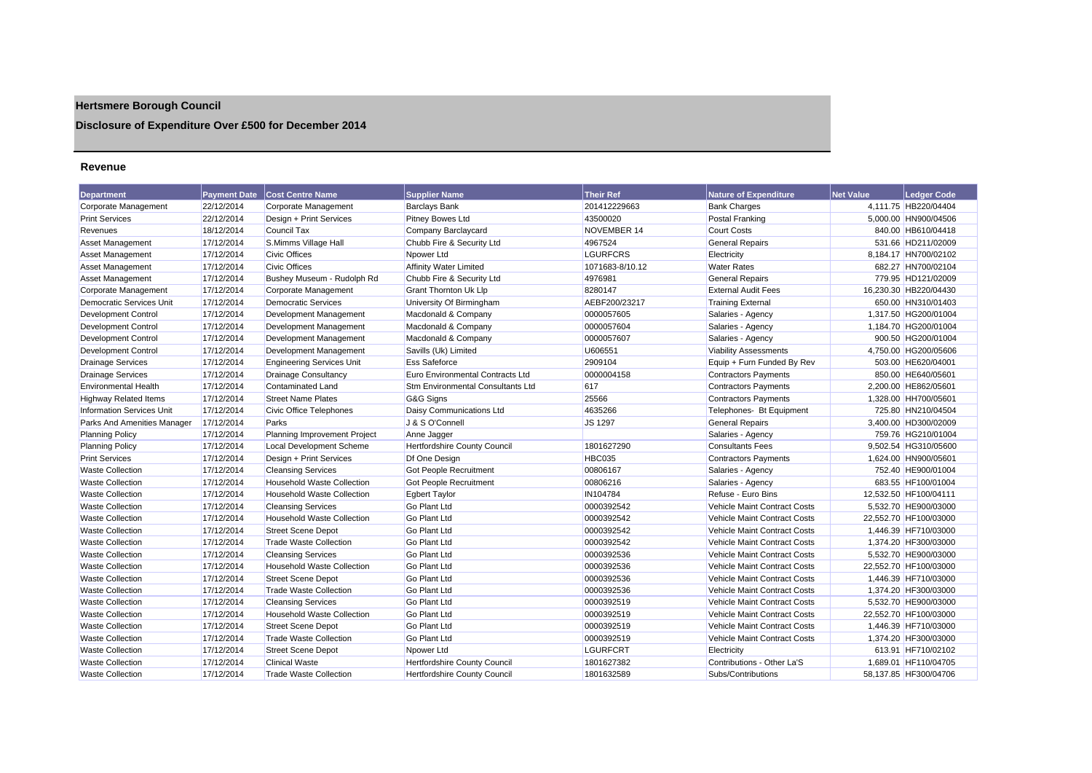## **Hertsmere Borough Council**

## **Disclosure of Expenditure Over £500 for December 2014**

#### **Revenue**

| <b>Department</b>                | <b>Payment Date</b> | <b>Cost Centre Name</b>           | <b>Supplier Name</b>                     | <b>Their Ref</b> | Nature of Expenditure        | <b>Net Value</b> | <b>Ledger Code</b>    |
|----------------------------------|---------------------|-----------------------------------|------------------------------------------|------------------|------------------------------|------------------|-----------------------|
| Corporate Management             | 22/12/2014          | Corporate Management              | <b>Barclays Bank</b>                     | 201412229663     | <b>Bank Charges</b>          |                  | 4.111.75 HB220/04404  |
| <b>Print Services</b>            | 22/12/2014          | Design + Print Services           | Pitney Bowes Ltd                         | 43500020         | Postal Franking              |                  | 5.000.00 HN900/04506  |
| Revenues                         | 18/12/2014          | Council Tax                       | Company Barclaycard                      | NOVEMBER 14      | <b>Court Costs</b>           |                  | 840.00 HB610/04418    |
| Asset Management                 | 17/12/2014          | S.Mimms Village Hall              | Chubb Fire & Security Ltd                | 4967524          | <b>General Repairs</b>       |                  | 531.66 HD211/02009    |
| Asset Management                 | 17/12/2014          | <b>Civic Offices</b>              | Npower Ltd                               | <b>LGURFCRS</b>  | Electricity                  |                  | 8.184.17 HN700/02102  |
| Asset Management                 | 17/12/2014          | <b>Civic Offices</b>              | <b>Affinity Water Limited</b>            | 1071683-8/10.12  | <b>Water Rates</b>           |                  | 682.27 HN700/02104    |
| Asset Management                 | 17/12/2014          | Bushey Museum - Rudolph Rd        | Chubb Fire & Security Ltd                | 4976981          | <b>General Repairs</b>       |                  | 779.95 HD121/02009    |
| Corporate Management             | 17/12/2014          | Corporate Management              | Grant Thornton Uk Llp                    | 8280147          | <b>External Audit Fees</b>   |                  | 16,230.30 HB220/04430 |
| <b>Democratic Services Unit</b>  | 17/12/2014          | <b>Democratic Services</b>        | University Of Birmingham                 | AEBF200/23217    | <b>Training External</b>     |                  | 650.00 HN310/01403    |
| <b>Development Control</b>       | 17/12/2014          | <b>Development Management</b>     | Macdonald & Company                      | 0000057605       | Salaries - Agency            |                  | 1,317.50 HG200/01004  |
| Development Control              | 17/12/2014          | Development Management            | Macdonald & Company                      | 0000057604       | Salaries - Agency            |                  | 1,184.70 HG200/01004  |
| Development Control              | 17/12/2014          | Development Management            | Macdonald & Company                      | 0000057607       | Salaries - Agency            |                  | 900.50 HG200/01004    |
| <b>Development Control</b>       | 17/12/2014          | Development Management            | Savills (Uk) Limited                     | U606551          | <b>Viability Assessments</b> |                  | 4.750.00 HG200/05606  |
| <b>Drainage Services</b>         | 17/12/2014          | <b>Engineering Services Unit</b>  | <b>Ess Safeforce</b>                     | 2909104          | Equip + Furn Funded By Rev   |                  | 503.00 HE620/04001    |
| <b>Drainage Services</b>         | 17/12/2014          | <b>Drainage Consultancy</b>       | Euro Environmental Contracts Ltd         | 0000004158       | <b>Contractors Payments</b>  |                  | 850.00 HE640/05601    |
| <b>Environmental Health</b>      | 17/12/2014          | Contaminated Land                 | <b>Stm Environmental Consultants Ltd</b> | 617              | <b>Contractors Payments</b>  |                  | 2.200.00 HE862/05601  |
| <b>Highway Related Items</b>     | 17/12/2014          | <b>Street Name Plates</b>         | G&G Signs                                | 25566            | <b>Contractors Payments</b>  |                  | 1.328.00 HH700/05601  |
| <b>Information Services Unit</b> | 17/12/2014          | Civic Office Telephones           | Daisy Communications Ltd                 | 4635266          | Telephones- Bt Equipment     |                  | 725.80 HN210/04504    |
| Parks And Amenities Manager      | 17/12/2014          | Parks                             | J & S O'Connell                          | JS 1297          | <b>General Repairs</b>       |                  | 3,400.00 HD300/02009  |
| <b>Planning Policy</b>           | 17/12/2014          | Planning Improvement Project      | Anne Jagger                              |                  | Salaries - Agency            |                  | 759.76 HG210/01004    |
| <b>Planning Policy</b>           | 17/12/2014          | <b>Local Development Scheme</b>   | Hertfordshire County Council             | 1801627290       | <b>Consultants Fees</b>      |                  | 9.502.54 HG310/05600  |
| <b>Print Services</b>            | 17/12/2014          | Design + Print Services           | Df One Design                            | <b>HBC035</b>    | <b>Contractors Payments</b>  |                  | 1,624.00 HN900/05601  |
| <b>Waste Collection</b>          | 17/12/2014          | <b>Cleansing Services</b>         | Got People Recruitment                   | 00806167         | Salaries - Agency            |                  | 752.40 HE900/01004    |
| <b>Waste Collection</b>          | 17/12/2014          | <b>Household Waste Collection</b> | Got People Recruitment                   | 00806216         | Salaries - Agency            |                  | 683.55 HF100/01004    |
| <b>Waste Collection</b>          | 17/12/2014          | <b>Household Waste Collection</b> | <b>Egbert Taylor</b>                     | IN104784         | Refuse - Euro Bins           |                  | 12,532.50 HF100/04111 |
| <b>Waste Collection</b>          | 17/12/2014          | <b>Cleansing Services</b>         | <b>Go Plant Ltd</b>                      | 0000392542       | Vehicle Maint Contract Costs |                  | 5,532.70 HE900/03000  |
| <b>Waste Collection</b>          | 17/12/2014          | <b>Household Waste Collection</b> | <b>Go Plant Ltd</b>                      | 0000392542       | Vehicle Maint Contract Costs |                  | 22,552.70 HF100/03000 |
| <b>Waste Collection</b>          | 17/12/2014          | <b>Street Scene Depot</b>         | <b>Go Plant Ltd</b>                      | 0000392542       | Vehicle Maint Contract Costs |                  | 1.446.39 HF710/03000  |
| <b>Waste Collection</b>          | 17/12/2014          | <b>Trade Waste Collection</b>     | <b>Go Plant Ltd</b>                      | 0000392542       | Vehicle Maint Contract Costs |                  | 1,374.20 HF300/03000  |
| <b>Waste Collection</b>          | 17/12/2014          | <b>Cleansing Services</b>         | <b>Go Plant Ltd</b>                      | 0000392536       | Vehicle Maint Contract Costs |                  | 5,532.70 HE900/03000  |
| <b>Waste Collection</b>          | 17/12/2014          | <b>Household Waste Collection</b> | <b>Go Plant Ltd</b>                      | 0000392536       | Vehicle Maint Contract Costs |                  | 22,552.70 HF100/03000 |
| <b>Waste Collection</b>          | 17/12/2014          | Street Scene Depot                | <b>Go Plant Ltd</b>                      | 0000392536       | Vehicle Maint Contract Costs |                  | 1,446.39 HF710/03000  |
| <b>Waste Collection</b>          | 17/12/2014          | <b>Trade Waste Collection</b>     | <b>Go Plant Ltd</b>                      | 0000392536       | Vehicle Maint Contract Costs |                  | 1,374.20 HF300/03000  |
| <b>Waste Collection</b>          | 17/12/2014          | <b>Cleansing Services</b>         | <b>Go Plant Ltd</b>                      | 0000392519       | Vehicle Maint Contract Costs |                  | 5,532.70 HE900/03000  |
| <b>Waste Collection</b>          | 17/12/2014          | <b>Household Waste Collection</b> | <b>Go Plant Ltd</b>                      | 0000392519       | Vehicle Maint Contract Costs |                  | 22,552.70 HF100/03000 |
| <b>Waste Collection</b>          | 17/12/2014          | <b>Street Scene Depot</b>         | <b>Go Plant Ltd</b>                      | 0000392519       | Vehicle Maint Contract Costs |                  | 1,446.39 HF710/03000  |
| <b>Waste Collection</b>          | 17/12/2014          | <b>Trade Waste Collection</b>     | <b>Go Plant Ltd</b>                      | 0000392519       | Vehicle Maint Contract Costs |                  | 1,374.20 HF300/03000  |
| <b>Waste Collection</b>          | 17/12/2014          | <b>Street Scene Depot</b>         | Npower Ltd                               | <b>LGURFCRT</b>  | Electricity                  |                  | 613.91 HF710/02102    |
| <b>Waste Collection</b>          | 17/12/2014          | <b>Clinical Waste</b>             | Hertfordshire County Council             | 1801627382       | Contributions - Other La'S   |                  | 1.689.01 HF110/04705  |
| <b>Waste Collection</b>          | 17/12/2014          | Trade Waste Collection            | <b>Hertfordshire County Council</b>      | 1801632589       | Subs/Contributions           |                  | 58.137.85 HF300/04706 |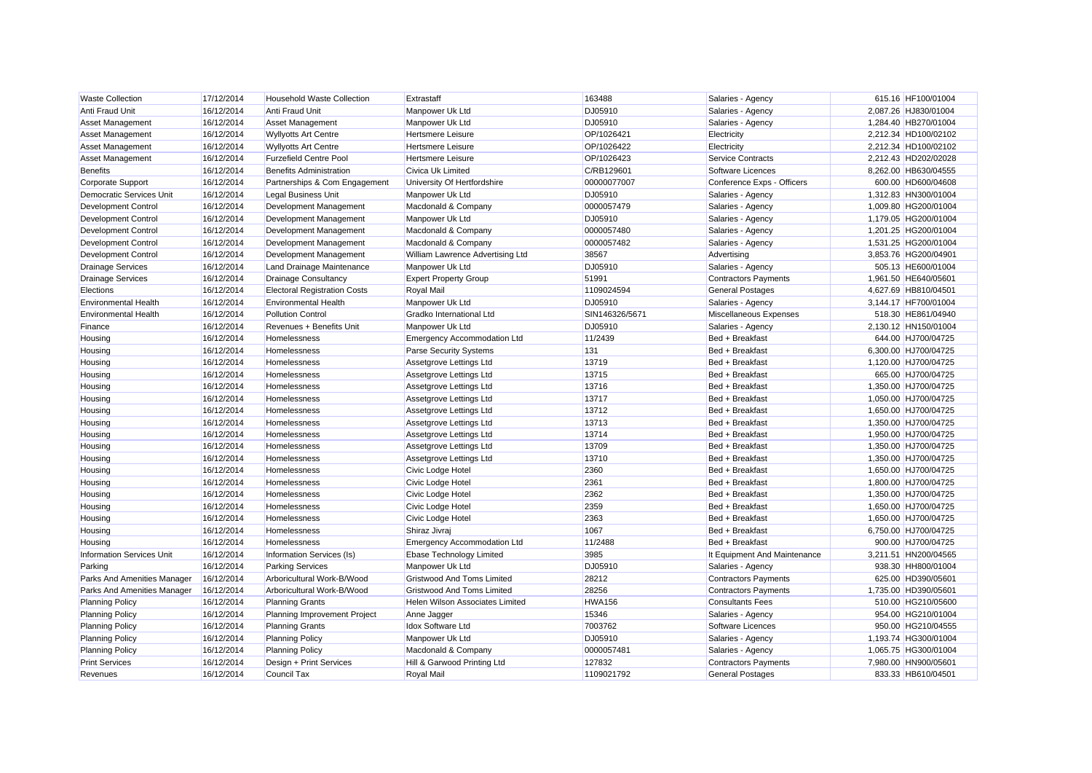| <b>Waste Collection</b>          | 17/12/2014 | <b>Household Waste Collection</b>   | Extrastaff                         | 163488         | Salaries - Agency            | 615.16 HF100/01004   |
|----------------------------------|------------|-------------------------------------|------------------------------------|----------------|------------------------------|----------------------|
| Anti Fraud Unit                  | 16/12/2014 | Anti Fraud Unit                     | Manpower Uk Ltd                    | DJ05910        | Salaries - Agency            | 2,087.26 HJ830/01004 |
| <b>Asset Management</b>          | 16/12/2014 | <b>Asset Management</b>             | Manpower Uk Ltd                    | DJ05910        | Salaries - Agency            | 1,284.40 HB270/01004 |
| <b>Asset Management</b>          | 16/12/2014 | <b>Wyllyotts Art Centre</b>         | <b>Hertsmere Leisure</b>           | OP/1026421     | Electricity                  | 2,212.34 HD100/02102 |
| Asset Management                 | 16/12/2014 | <b>Wyllyotts Art Centre</b>         | <b>Hertsmere Leisure</b>           | OP/1026422     | Electricity                  | 2,212.34 HD100/02102 |
| <b>Asset Management</b>          | 16/12/2014 | <b>Furzefield Centre Pool</b>       | <b>Hertsmere Leisure</b>           | OP/1026423     | <b>Service Contracts</b>     | 2,212.43 HD202/02028 |
| <b>Benefits</b>                  | 16/12/2014 | <b>Benefits Administration</b>      | Civica Uk Limited                  | C/RB129601     | Software Licences            | 8,262.00 HB630/04555 |
| Corporate Support                | 16/12/2014 | Partnerships & Com Engagement       | University Of Hertfordshire        | 00000077007    | Conference Exps - Officers   | 600.00 HD600/04608   |
| Democratic Services Unit         | 16/12/2014 | <b>Legal Business Unit</b>          | Manpower Uk Ltd                    | DJ05910        | Salaries - Agency            | 1,312.83 HN300/01004 |
| Development Control              | 16/12/2014 | Development Management              | Macdonald & Company                | 0000057479     | Salaries - Agency            | 1,009.80 HG200/01004 |
| <b>Development Control</b>       | 16/12/2014 | Development Management              | Manpower Uk Ltd                    | DJ05910        | Salaries - Agency            | 1,179.05 HG200/01004 |
| Development Control              | 16/12/2014 | Development Management              | Macdonald & Company                | 0000057480     | Salaries - Agency            | 1,201.25 HG200/01004 |
| <b>Development Control</b>       | 16/12/2014 | Development Management              | Macdonald & Company                | 0000057482     | Salaries - Agency            | 1,531.25 HG200/01004 |
| <b>Development Control</b>       | 16/12/2014 | Development Management              | William Lawrence Advertising Ltd   | 38567          | Advertising                  | 3,853.76 HG200/04901 |
| <b>Drainage Services</b>         | 16/12/2014 | Land Drainage Maintenance           | Manpower Uk Ltd                    | DJ05910        | Salaries - Agency            | 505.13 HE600/01004   |
| <b>Drainage Services</b>         | 16/12/2014 | <b>Drainage Consultancy</b>         | <b>Expert Property Group</b>       | 51991          | <b>Contractors Payments</b>  | 1,961.50 HE640/05601 |
| Elections                        | 16/12/2014 | <b>Electoral Registration Costs</b> | <b>Royal Mail</b>                  | 1109024594     | <b>General Postages</b>      | 4,627.69 HB810/04501 |
| <b>Environmental Health</b>      | 16/12/2014 | <b>Environmental Health</b>         | Manpower Uk Ltd                    | DJ05910        | Salaries - Agency            | 3,144.17 HF700/01004 |
| <b>Environmental Health</b>      | 16/12/2014 | <b>Pollution Control</b>            | Gradko International Ltd           | SIN146326/5671 | Miscellaneous Expenses       | 518.30 HE861/04940   |
| Finance                          | 16/12/2014 | Revenues + Benefits Unit            | Manpower Uk Ltd                    | DJ05910        | Salaries - Agency            | 2,130.12 HN150/01004 |
| Housing                          | 16/12/2014 | <b>Homelessness</b>                 | <b>Emergency Accommodation Ltd</b> | 11/2439        | Bed + Breakfast              | 644.00 HJ700/04725   |
| Housing                          | 16/12/2014 | <b>Homelessness</b>                 | <b>Parse Security Systems</b>      | 131            | Bed + Breakfast              | 6,300.00 HJ700/04725 |
| Housing                          | 16/12/2014 | <b>Homelessness</b>                 | Assetgrove Lettings Ltd            | 13719          | Bed + Breakfast              | 1,120.00 HJ700/04725 |
| Housing                          | 16/12/2014 | <b>Homelessness</b>                 | Assetgrove Lettings Ltd            | 13715          | Bed + Breakfast              | 665.00 HJ700/04725   |
| Housing                          | 16/12/2014 | <b>Homelessness</b>                 | Assetgrove Lettings Ltd            | 13716          | Bed + Breakfast              | 1,350.00 HJ700/04725 |
| Housing                          | 16/12/2014 | Homelessness                        | Assetgrove Lettings Ltd            | 13717          | Bed + Breakfast              | 1,050.00 HJ700/04725 |
| Housing                          | 16/12/2014 | <b>Homelessness</b>                 | Assetgrove Lettings Ltd            | 13712          | Bed + Breakfast              | 1,650.00 HJ700/04725 |
| Housing                          | 16/12/2014 | <b>Homelessness</b>                 | Assetgrove Lettings Ltd            | 13713          | Bed + Breakfast              | 1,350.00 HJ700/04725 |
| Housing                          | 16/12/2014 | <b>Homelessness</b>                 | Assetgrove Lettings Ltd            | 13714          | Bed + Breakfast              | 1,950.00 HJ700/04725 |
| Housing                          | 16/12/2014 | Homelessness                        | Assetgrove Lettings Ltd            | 13709          | Bed + Breakfast              | 1,350.00 HJ700/04725 |
| Housing                          | 16/12/2014 | Homelessness                        | Assetgrove Lettings Ltd            | 13710          | Bed + Breakfast              | 1,350.00 HJ700/04725 |
| Housing                          | 16/12/2014 | Homelessness                        | Civic Lodge Hotel                  | 2360           | Bed + Breakfast              | 1,650.00 HJ700/04725 |
| Housing                          | 16/12/2014 | Homelessness                        | Civic Lodge Hotel                  | 2361           | Bed + Breakfast              | 1,800.00 HJ700/04725 |
| Housing                          | 16/12/2014 | Homelessness                        | Civic Lodge Hotel                  | 2362           | Bed + Breakfast              | 1,350.00 HJ700/04725 |
| Housing                          | 16/12/2014 | Homelessness                        | Civic Lodge Hotel                  | 2359           | Bed + Breakfast              | 1,650.00 HJ700/04725 |
| Housing                          | 16/12/2014 | <b>Homelessness</b>                 | Civic Lodge Hotel                  | 2363           | Bed + Breakfast              | 1,650.00 HJ700/04725 |
| Housing                          | 16/12/2014 | <b>Homelessness</b>                 | Shiraz Jivraj                      | 1067           | Bed + Breakfast              | 6,750.00 HJ700/04725 |
| Housing                          | 16/12/2014 | Homelessness                        | <b>Emergency Accommodation Ltd</b> | 11/2488        | Bed + Breakfast              | 900.00 HJ700/04725   |
| <b>Information Services Unit</b> | 16/12/2014 | Information Services (Is)           | Ebase Technology Limited           | 3985           | It Equipment And Maintenance | 3,211.51 HN200/04565 |
| Parking                          | 16/12/2014 | <b>Parking Services</b>             | Manpower Uk Ltd                    | DJ05910        | Salaries - Agency            | 938.30 HH800/01004   |
| Parks And Amenities Manager      | 16/12/2014 | Arboricultural Work-B/Wood          | Gristwood And Toms Limited         | 28212          | <b>Contractors Payments</b>  | 625.00 HD390/05601   |
| Parks And Amenities Manager      | 16/12/2014 | Arboricultural Work-B/Wood          | <b>Gristwood And Toms Limited</b>  | 28256          | <b>Contractors Payments</b>  | 1,735.00 HD390/05601 |
| <b>Planning Policy</b>           | 16/12/2014 | <b>Planning Grants</b>              | Helen Wilson Associates Limited    | HWA156         | <b>Consultants Fees</b>      | 510.00 HG210/05600   |
| <b>Planning Policy</b>           | 16/12/2014 | Planning Improvement Project        | Anne Jagger                        | 15346          | Salaries - Agency            | 954.00 HG210/01004   |
| <b>Planning Policy</b>           | 16/12/2014 | <b>Planning Grants</b>              | <b>Idox Software Ltd</b>           | 7003762        | Software Licences            | 950.00 HG210/04555   |
| <b>Planning Policy</b>           | 16/12/2014 | <b>Planning Policy</b>              | Manpower Uk Ltd                    | DJ05910        | Salaries - Agency            | 1,193.74 HG300/01004 |
| <b>Planning Policy</b>           | 16/12/2014 | <b>Planning Policy</b>              | Macdonald & Company                | 0000057481     | Salaries - Agency            | 1,065.75 HG300/01004 |
| <b>Print Services</b>            | 16/12/2014 | Design + Print Services             | Hill & Garwood Printing Ltd        | 127832         | <b>Contractors Payments</b>  | 7,980.00 HN900/05601 |
| Revenues                         | 16/12/2014 | <b>Council Tax</b>                  | <b>Royal Mail</b>                  | 1109021792     | <b>General Postages</b>      | 833.33 HB610/04501   |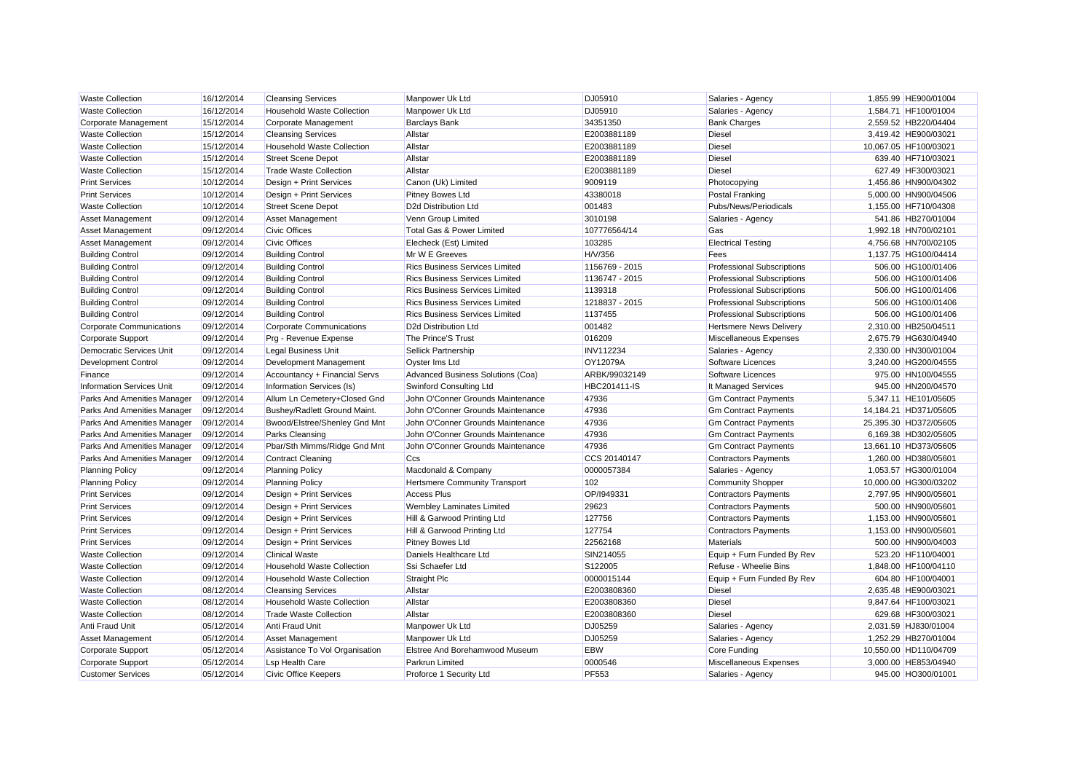| <b>Waste Collection</b>          | 16/12/2014 | <b>Cleansing Services</b>         | Manpower Uk Ltd                       | DJ05910          | Salaries - Agency                 | 1,855.99 HE900/01004  |
|----------------------------------|------------|-----------------------------------|---------------------------------------|------------------|-----------------------------------|-----------------------|
| <b>Waste Collection</b>          | 16/12/2014 | <b>Household Waste Collection</b> | Manpower Uk Ltd                       | DJ05910          | Salaries - Agency                 | 1,584.71 HF100/01004  |
| Corporate Management             | 15/12/2014 | Corporate Management              | <b>Barclays Bank</b>                  | 34351350         | <b>Bank Charges</b>               | 2,559.52 HB220/04404  |
| <b>Waste Collection</b>          | 15/12/2014 | <b>Cleansing Services</b>         | Allstar                               | E2003881189      | <b>Diesel</b>                     | 3,419.42 HE900/03021  |
| <b>Waste Collection</b>          | 15/12/2014 | <b>Household Waste Collection</b> | Allstar                               | E2003881189      | <b>Diesel</b>                     | 10,067.05 HF100/03021 |
| <b>Waste Collection</b>          | 15/12/2014 | <b>Street Scene Depot</b>         | Allstar                               | E2003881189      | <b>Diesel</b>                     | 639.40 HF710/03021    |
| <b>Waste Collection</b>          | 15/12/2014 | Trade Waste Collection            | Allstar                               | E2003881189      | <b>Diesel</b>                     | 627.49 HF300/03021    |
| <b>Print Services</b>            | 10/12/2014 | Design + Print Services           | Canon (Uk) Limited                    | 9009119          | Photocopying                      | 1.456.86 HN900/04302  |
| <b>Print Services</b>            | 10/12/2014 | Design + Print Services           | Pitney Bowes Ltd                      | 43380018         | Postal Franking                   | 5,000.00 HN900/04506  |
| <b>Waste Collection</b>          | 10/12/2014 | <b>Street Scene Depot</b>         | D2d Distribution Ltd                  | 001483           | Pubs/News/Periodicals             | 1,155.00 HF710/04308  |
| Asset Management                 | 09/12/2014 | <b>Asset Management</b>           | Venn Group Limited                    | 3010198          | Salaries - Agency                 | 541.86 HB270/01004    |
| Asset Management                 | 09/12/2014 | <b>Civic Offices</b>              | Total Gas & Power Limited             | 107776564/14     | Gas                               | 1,992.18 HN700/02101  |
| Asset Management                 | 09/12/2014 | <b>Civic Offices</b>              | Elecheck (Est) Limited                | 103285           | <b>Electrical Testing</b>         | 4,756.68 HN700/02105  |
| <b>Building Control</b>          | 09/12/2014 | <b>Building Control</b>           | Mr W E Greeves                        | H/V/356          | Fees                              | 1,137.75 HG100/04414  |
| <b>Building Control</b>          | 09/12/2014 | <b>Building Control</b>           | <b>Rics Business Services Limited</b> | 1156769 - 2015   | <b>Professional Subscriptions</b> | 506.00 HG100/01406    |
| <b>Building Control</b>          | 09/12/2014 | <b>Building Control</b>           | <b>Rics Business Services Limited</b> | 1136747 - 2015   | <b>Professional Subscriptions</b> | 506.00 HG100/01406    |
| <b>Building Control</b>          | 09/12/2014 | <b>Building Control</b>           | <b>Rics Business Services Limited</b> | 1139318          | <b>Professional Subscriptions</b> | 506.00 HG100/01406    |
| <b>Building Control</b>          | 09/12/2014 | <b>Building Control</b>           | <b>Rics Business Services Limited</b> | 1218837 - 2015   | <b>Professional Subscriptions</b> | 506.00 HG100/01406    |
| <b>Building Control</b>          | 09/12/2014 | <b>Building Control</b>           | <b>Rics Business Services Limited</b> | 1137455          | <b>Professional Subscriptions</b> | 506.00 HG100/01406    |
| <b>Corporate Communications</b>  | 09/12/2014 | <b>Corporate Communications</b>   | D2d Distribution Ltd                  | 001482           | <b>Hertsmere News Delivery</b>    | 2.310.00 HB250/04511  |
| Corporate Support                | 09/12/2014 | Prg - Revenue Expense             | The Prince'S Trust                    | 016209           | Miscellaneous Expenses            | 2,675.79 HG630/04940  |
| Democratic Services Unit         | 09/12/2014 | <b>Legal Business Unit</b>        | <b>Sellick Partnership</b>            | <b>INV112234</b> | Salaries - Agency                 | 2,330.00 HN300/01004  |
| <b>Development Control</b>       | 09/12/2014 | Development Management            | Oyster Ims Ltd                        | OY12079A         | Software Licences                 | 3,240.00 HG200/04555  |
| Finance                          | 09/12/2014 | Accountancy + Financial Servs     | Advanced Business Solutions (Coa)     | ARBK/99032149    | Software Licences                 | 975.00 HN100/04555    |
| <b>Information Services Unit</b> | 09/12/2014 | Information Services (Is)         | Swinford Consulting Ltd               | HBC201411-IS     | It Managed Services               | 945.00 HN200/04570    |
| Parks And Amenities Manager      | 09/12/2014 | Allum Ln Cemetery+Closed Gnd      | John O'Conner Grounds Maintenance     | 47936            | <b>Gm Contract Payments</b>       | 5,347.11 HE101/05605  |
| Parks And Amenities Manager      | 09/12/2014 | Bushey/Radlett Ground Maint.      | John O'Conner Grounds Maintenance     | 47936            | <b>Gm Contract Payments</b>       | 14,184.21 HD371/05605 |
| Parks And Amenities Manager      | 09/12/2014 | Bwood/Elstree/Shenley Gnd Mnt     | John O'Conner Grounds Maintenance     | 47936            | <b>Gm Contract Payments</b>       | 25,395.30 HD372/05605 |
| Parks And Amenities Manager      | 09/12/2014 | Parks Cleansing                   | John O'Conner Grounds Maintenance     | 47936            | <b>Gm Contract Payments</b>       | 6,169.38 HD302/05605  |
| Parks And Amenities Manager      | 09/12/2014 | Pbar/Sth Mimms/Ridge Gnd Mnt      | John O'Conner Grounds Maintenance     | 47936            | <b>Gm Contract Payments</b>       | 13,661.10 HD373/05605 |
| Parks And Amenities Manager      | 09/12/2014 | Contract Cleaning                 | Ccs                                   | CCS 20140147     | <b>Contractors Payments</b>       | 1,260.00 HD380/05601  |
| <b>Planning Policy</b>           | 09/12/2014 | <b>Planning Policy</b>            | Macdonald & Company                   | 0000057384       | Salaries - Agency                 | 1,053.57 HG300/01004  |
| <b>Planning Policy</b>           | 09/12/2014 | <b>Planning Policy</b>            | <b>Hertsmere Community Transport</b>  | 102              | Community Shopper                 | 10,000.00 HG300/03202 |
| <b>Print Services</b>            | 09/12/2014 | Design + Print Services           | <b>Access Plus</b>                    | OP/1949331       | <b>Contractors Payments</b>       | 2,797.95 HN900/05601  |
| <b>Print Services</b>            | 09/12/2014 | Design + Print Services           | <b>Wembley Laminates Limited</b>      | 29623            | <b>Contractors Payments</b>       | 500.00 HN900/05601    |
| <b>Print Services</b>            | 09/12/2014 | Design + Print Services           | Hill & Garwood Printing Ltd           | 127756           | <b>Contractors Payments</b>       | 1,153.00 HN900/05601  |
| <b>Print Services</b>            | 09/12/2014 | Design + Print Services           | Hill & Garwood Printing Ltd           | 127754           | <b>Contractors Payments</b>       | 1,153.00 HN900/05601  |
| <b>Print Services</b>            | 09/12/2014 | Design + Print Services           | <b>Pitney Bowes Ltd</b>               | 22562168         | Materials                         | 500.00 HN900/04003    |
| <b>Waste Collection</b>          | 09/12/2014 | <b>Clinical Waste</b>             | Daniels Healthcare Ltd                | SIN214055        | Equip + Furn Funded By Rev        | 523.20 HF110/04001    |
| <b>Waste Collection</b>          | 09/12/2014 | <b>Household Waste Collection</b> | Ssi Schaefer Ltd                      | S122005          | Refuse - Wheelie Bins             | 1,848.00 HF100/04110  |
| <b>Waste Collection</b>          | 09/12/2014 | <b>Household Waste Collection</b> | <b>Straight Plc</b>                   | 0000015144       | Equip + Furn Funded By Rev        | 604.80 HF100/04001    |
| <b>Waste Collection</b>          | 08/12/2014 | <b>Cleansing Services</b>         | Allstar                               | E2003808360      | <b>Diesel</b>                     | 2,635.48 HE900/03021  |
| <b>Waste Collection</b>          | 08/12/2014 | <b>Household Waste Collection</b> | Allstar                               | E2003808360      | <b>Diesel</b>                     | 9,847.64 HF100/03021  |
| <b>Waste Collection</b>          | 08/12/2014 | <b>Trade Waste Collection</b>     | Allstar                               | E2003808360      | <b>Diesel</b>                     | 629.68 HF300/03021    |
| Anti Fraud Unit                  | 05/12/2014 | Anti Fraud Unit                   | Manpower Uk Ltd                       | DJ05259          | Salaries - Agency                 | 2.031.59 HJ830/01004  |
| Asset Management                 | 05/12/2014 | <b>Asset Management</b>           | Manpower Uk Ltd                       | DJ05259          | Salaries - Agency                 | 1,252.29 HB270/01004  |
| Corporate Support                | 05/12/2014 | Assistance To Vol Organisation    | Elstree And Borehamwood Museum        | <b>EBW</b>       | Core Funding                      | 10,550.00 HD110/04709 |
| Corporate Support                | 05/12/2014 | <b>Lsp Health Care</b>            | Parkrun Limited                       | 0000546          | Miscellaneous Expenses            | 3.000.00 HE853/04940  |
| <b>Customer Services</b>         | 05/12/2014 | Civic Office Keepers              | Proforce 1 Security Ltd               | PF553            | Salaries - Agency                 | 945.00 HO300/01001    |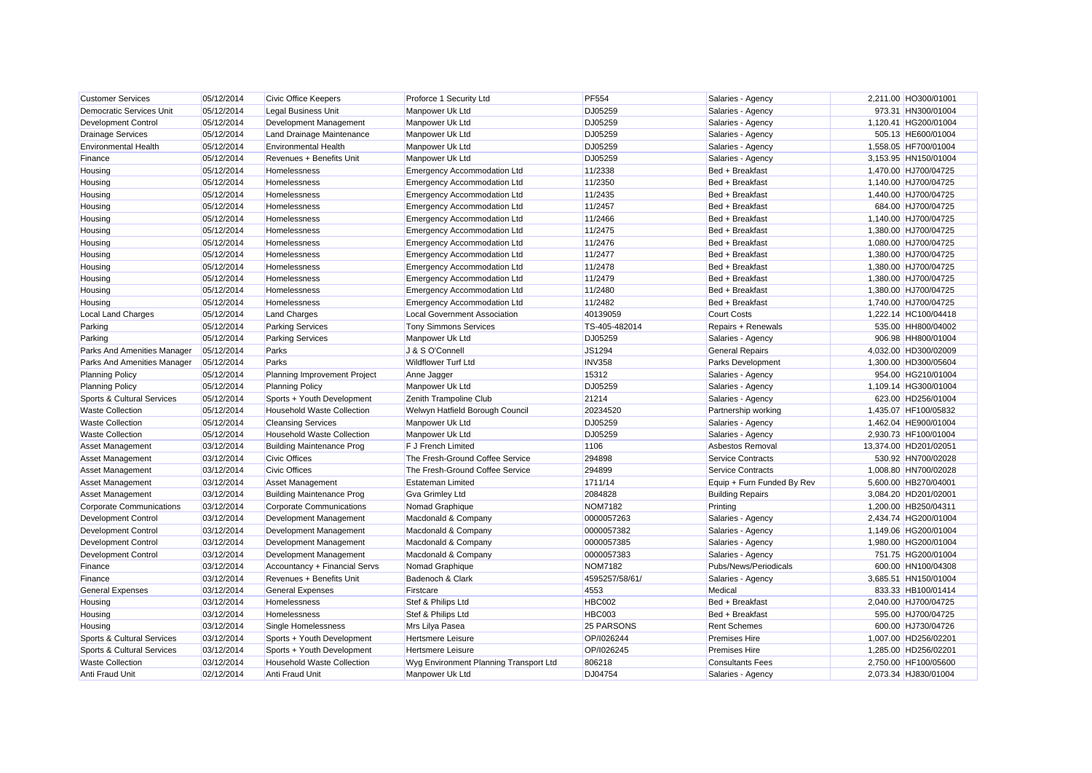| <b>Customer Services</b>        | 05/12/2014 | <b>Civic Office Keepers</b>       | Proforce 1 Security Ltd                | <b>PF554</b>   | Salaries - Agency          | 2,211.00 HO300/01001  |
|---------------------------------|------------|-----------------------------------|----------------------------------------|----------------|----------------------------|-----------------------|
| Democratic Services Unit        | 05/12/2014 | <b>Legal Business Unit</b>        | Manpower Uk Ltd                        | DJ05259        | Salaries - Agency          | 973.31 HN300/01004    |
| <b>Development Control</b>      | 05/12/2014 | Development Management            | Manpower Uk Ltd                        | DJ05259        | Salaries - Agency          | 1,120.41 HG200/01004  |
| <b>Drainage Services</b>        | 05/12/2014 | Land Drainage Maintenance         | Manpower Uk Ltd                        | DJ05259        | Salaries - Agency          | 505.13 HE600/01004    |
| <b>Environmental Health</b>     | 05/12/2014 | <b>Environmental Health</b>       | Manpower Uk Ltd                        | DJ05259        | Salaries - Agency          | 1,558.05 HF700/01004  |
| Finance                         | 05/12/2014 | Revenues + Benefits Unit          | Manpower Uk Ltd                        | DJ05259        | Salaries - Agency          | 3,153.95 HN150/01004  |
| Housing                         | 05/12/2014 | <b>Homelessness</b>               | <b>Emergency Accommodation Ltd</b>     | 11/2338        | Bed + Breakfast            | 1,470.00 HJ700/04725  |
| Housing                         | 05/12/2014 | Homelessness                      | <b>Emergency Accommodation Ltd</b>     | 11/2350        | Bed + Breakfast            | 1,140.00 HJ700/04725  |
| Housing                         | 05/12/2014 | Homelessness                      | <b>Emergency Accommodation Ltd</b>     | 11/2435        | Bed + Breakfast            | 1,440.00 HJ700/04725  |
| Housing                         | 05/12/2014 | Homelessness                      | <b>Emergency Accommodation Ltd</b>     | 11/2457        | Bed + Breakfast            | 684.00 HJ700/04725    |
| Housing                         | 05/12/2014 | Homelessness                      | <b>Emergency Accommodation Ltd</b>     | 11/2466        | Bed + Breakfast            | 1,140.00 HJ700/04725  |
| Housing                         | 05/12/2014 | Homelessness                      | <b>Emergency Accommodation Ltd</b>     | 11/2475        | Bed + Breakfast            | 1,380.00 HJ700/04725  |
| Housing                         | 05/12/2014 | Homelessness                      | <b>Emergency Accommodation Ltd</b>     | 11/2476        | Bed + Breakfast            | 1,080.00 HJ700/04725  |
| Housing                         | 05/12/2014 | Homelessness                      | <b>Emergency Accommodation Ltd</b>     | 11/2477        | Bed + Breakfast            | 1,380.00 HJ700/04725  |
| Housing                         | 05/12/2014 | Homelessness                      | <b>Emergency Accommodation Ltd</b>     | 11/2478        | Bed + Breakfast            | 1,380.00 HJ700/04725  |
| Housing                         | 05/12/2014 | Homelessness                      | <b>Emergency Accommodation Ltd</b>     | 11/2479        | Bed + Breakfast            | 1,380.00 HJ700/04725  |
| Housing                         | 05/12/2014 | <b>Homelessness</b>               | <b>Emergency Accommodation Ltd</b>     | 11/2480        | Bed + Breakfast            | 1,380.00 HJ700/04725  |
| Housing                         | 05/12/2014 | Homelessness                      | <b>Emergency Accommodation Ltd</b>     | 11/2482        | Bed + Breakfast            | 1,740.00 HJ700/04725  |
| <b>Local Land Charges</b>       | 05/12/2014 | <b>Land Charges</b>               | <b>Local Government Association</b>    | 40139059       | <b>Court Costs</b>         | 1,222.14 HC100/04418  |
| Parking                         | 05/12/2014 | <b>Parking Services</b>           | <b>Tony Simmons Services</b>           | TS-405-482014  | Repairs + Renewals         | 535.00 HH800/04002    |
| Parking                         | 05/12/2014 | <b>Parking Services</b>           | Manpower Uk Ltd                        | DJ05259        | Salaries - Agency          | 906.98 HH800/01004    |
| Parks And Amenities Manager     | 05/12/2014 | Parks                             | J & S O'Connell                        | JS1294         | <b>General Repairs</b>     | 4.032.00 HD300/02009  |
| Parks And Amenities Manager     | 05/12/2014 | Parks                             | <b>Wildflower Turf Ltd</b>             | <b>INV358</b>  | Parks Development          | 1,300.00 HD300/05604  |
| <b>Planning Policy</b>          | 05/12/2014 | Planning Improvement Project      | Anne Jagger                            | 15312          | Salaries - Agency          | 954.00 HG210/01004    |
| <b>Planning Policy</b>          | 05/12/2014 | <b>Planning Policy</b>            | Manpower Uk Ltd                        | DJ05259        | Salaries - Agency          | 1,109.14 HG300/01004  |
| Sports & Cultural Services      | 05/12/2014 | Sports + Youth Development        | Zenith Trampoline Club                 | 21214          | Salaries - Agency          | 623.00 HD256/01004    |
| <b>Waste Collection</b>         | 05/12/2014 | <b>Household Waste Collection</b> | Welwyn Hatfield Borough Council        | 20234520       | Partnership working        | 1,435.07 HF100/05832  |
| <b>Waste Collection</b>         | 05/12/2014 | <b>Cleansing Services</b>         | Manpower Uk Ltd                        | DJ05259        | Salaries - Agency          | 1,462.04 HE900/01004  |
| <b>Waste Collection</b>         | 05/12/2014 | <b>Household Waste Collection</b> | Manpower Uk Ltd                        | DJ05259        | Salaries - Agency          | 2,930.73 HF100/01004  |
| <b>Asset Management</b>         | 03/12/2014 | <b>Building Maintenance Prog</b>  | F J French Limited                     | 1106           | Asbestos Removal           | 13,374.00 HD201/02051 |
| Asset Management                | 03/12/2014 | <b>Civic Offices</b>              | The Fresh-Ground Coffee Service        | 294898         | Service Contracts          | 530.92 HN700/02028    |
| <b>Asset Management</b>         | 03/12/2014 | <b>Civic Offices</b>              | The Fresh-Ground Coffee Service        | 294899         | <b>Service Contracts</b>   | 1,008.80 HN700/02028  |
| Asset Management                | 03/12/2014 | Asset Management                  | <b>Estateman Limited</b>               | 1711/14        | Equip + Furn Funded By Rev | 5,600.00 HB270/04001  |
| <b>Asset Management</b>         | 03/12/2014 | <b>Building Maintenance Prog</b>  | <b>Gva Grimley Ltd</b>                 | 2084828        | <b>Building Repairs</b>    | 3,084.20 HD201/02001  |
| <b>Corporate Communications</b> | 03/12/2014 | Corporate Communications          | Nomad Graphique                        | <b>NOM7182</b> | Printing                   | 1.200.00 HB250/04311  |
| <b>Development Control</b>      | 03/12/2014 | Development Management            | Macdonald & Company                    | 0000057263     | Salaries - Agency          | 2,434.74 HG200/01004  |
| <b>Development Control</b>      | 03/12/2014 | Development Management            | Macdonald & Company                    | 0000057382     | Salaries - Agency          | 1,149.06 HG200/01004  |
| <b>Development Control</b>      | 03/12/2014 | Development Management            | Macdonald & Company                    | 0000057385     | Salaries - Agency          | 1,980.00 HG200/01004  |
| <b>Development Control</b>      | 03/12/2014 | Development Management            | Macdonald & Company                    | 0000057383     | Salaries - Agency          | 751.75 HG200/01004    |
| Finance                         | 03/12/2014 | Accountancy + Financial Servs     | Nomad Graphique                        | <b>NOM7182</b> | Pubs/News/Periodicals      | 600.00 HN100/04308    |
| Finance                         | 03/12/2014 | Revenues + Benefits Unit          | Badenoch & Clark                       | 4595257/58/61/ | Salaries - Agency          | 3,685.51 HN150/01004  |
| <b>General Expenses</b>         | 03/12/2014 | <b>General Expenses</b>           | Firstcare                              | 4553           | Medical                    | 833.33 HB100/01414    |
| Housing                         | 03/12/2014 | Homelessness                      | Stef & Philips Ltd                     | <b>HBC002</b>  | Bed + Breakfast            | 2,040.00 HJ700/04725  |
| Housing                         | 03/12/2014 | <b>Homelessness</b>               | Stef & Philips Ltd                     | HBC003         | Bed + Breakfast            | 595.00 HJ700/04725    |
| Housing                         | 03/12/2014 | Single Homelessness               | Mrs Lilya Pasea                        | 25 PARSONS     | <b>Rent Schemes</b>        | 600.00 HJ730/04726    |
| Sports & Cultural Services      | 03/12/2014 | Sports + Youth Development        | <b>Hertsmere Leisure</b>               | OP/I026244     | <b>Premises Hire</b>       | 1,007.00 HD256/02201  |
| Sports & Cultural Services      | 03/12/2014 | Sports + Youth Development        | <b>Hertsmere Leisure</b>               | OP/I026245     | <b>Premises Hire</b>       | 1,285.00 HD256/02201  |
| <b>Waste Collection</b>         | 03/12/2014 | Household Waste Collection        | Wyg Environment Planning Transport Ltd | 806218         | <b>Consultants Fees</b>    | 2,750.00 HF100/05600  |
| <b>Anti Fraud Unit</b>          | 02/12/2014 | Anti Fraud Unit                   | Manpower Uk Ltd                        | DJ04754        | Salaries - Agency          | 2,073.34 HJ830/01004  |